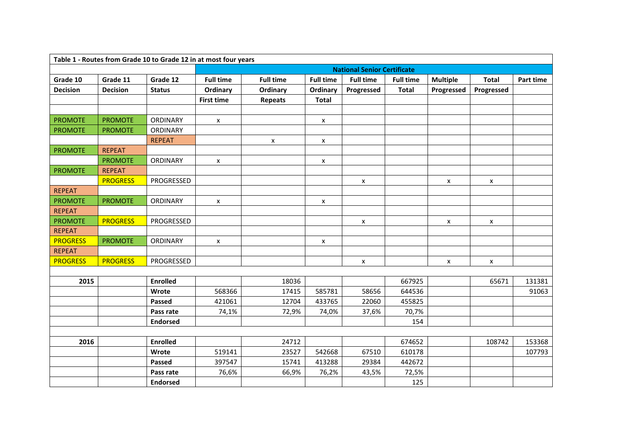| Table 1 - Routes from Grade 10 to Grade 12 in at most four years |                 |                 |                                    |                  |                  |                    |                  |                 |                    |           |
|------------------------------------------------------------------|-----------------|-----------------|------------------------------------|------------------|------------------|--------------------|------------------|-----------------|--------------------|-----------|
|                                                                  |                 |                 | <b>National Senior Certificate</b> |                  |                  |                    |                  |                 |                    |           |
| Grade 10                                                         | Grade 11        | Grade 12        | <b>Full time</b>                   | <b>Full time</b> | <b>Full time</b> | <b>Full time</b>   | <b>Full time</b> | <b>Multiple</b> | <b>Total</b>       | Part time |
| <b>Decision</b>                                                  | <b>Decision</b> | <b>Status</b>   | Ordinary                           | Ordinary         | Ordinary         | Progressed         | <b>Total</b>     | Progressed      | Progressed         |           |
|                                                                  |                 |                 | <b>First time</b>                  | <b>Repeats</b>   | <b>Total</b>     |                    |                  |                 |                    |           |
|                                                                  |                 |                 |                                    |                  |                  |                    |                  |                 |                    |           |
| <b>PROMOTE</b>                                                   | <b>PROMOTE</b>  | <b>ORDINARY</b> | X                                  |                  | $\mathsf{x}$     |                    |                  |                 |                    |           |
| <b>PROMOTE</b>                                                   | <b>PROMOTE</b>  | ORDINARY        |                                    |                  |                  |                    |                  |                 |                    |           |
|                                                                  |                 | <b>REPEAT</b>   |                                    | $\mathsf{x}$     | X                |                    |                  |                 |                    |           |
| <b>PROMOTE</b>                                                   | <b>REPEAT</b>   |                 |                                    |                  |                  |                    |                  |                 |                    |           |
|                                                                  | <b>PROMOTE</b>  | ORDINARY        | X                                  |                  | X                |                    |                  |                 |                    |           |
| <b>PROMOTE</b>                                                   | <b>REPEAT</b>   |                 |                                    |                  |                  |                    |                  |                 |                    |           |
|                                                                  | <b>PROGRESS</b> | PROGRESSED      |                                    |                  |                  | $\pmb{\mathsf{x}}$ |                  | $\mathsf{x}$    | $\pmb{\mathsf{x}}$ |           |
| <b>REPEAT</b>                                                    |                 |                 |                                    |                  |                  |                    |                  |                 |                    |           |
| <b>PROMOTE</b>                                                   | <b>PROMOTE</b>  | ORDINARY        | X                                  |                  | X                |                    |                  |                 |                    |           |
| <b>REPEAT</b>                                                    |                 |                 |                                    |                  |                  |                    |                  |                 |                    |           |
| <b>PROMOTE</b>                                                   | <b>PROGRESS</b> | PROGRESSED      |                                    |                  |                  | X                  |                  | X               | X                  |           |
| <b>REPEAT</b>                                                    |                 |                 |                                    |                  |                  |                    |                  |                 |                    |           |
| <b>PROGRESS</b>                                                  | <b>PROMOTE</b>  | ORDINARY        | X                                  |                  | X                |                    |                  |                 |                    |           |
| <b>REPEAT</b>                                                    |                 |                 |                                    |                  |                  |                    |                  |                 |                    |           |
| <b>PROGRESS</b>                                                  | <b>PROGRESS</b> | PROGRESSED      |                                    |                  |                  | X                  |                  | X               | $\pmb{\mathsf{x}}$ |           |
|                                                                  |                 |                 |                                    |                  |                  |                    |                  |                 |                    |           |
| 2015                                                             |                 | <b>Enrolled</b> |                                    | 18036            |                  |                    | 667925           |                 | 65671              | 131381    |
|                                                                  |                 | Wrote           | 568366                             | 17415            | 585781           | 58656              | 644536           |                 |                    | 91063     |
|                                                                  |                 | <b>Passed</b>   | 421061                             | 12704            | 433765           | 22060              | 455825           |                 |                    |           |
|                                                                  |                 | Pass rate       | 74,1%                              | 72,9%            | 74,0%            | 37,6%              | 70,7%            |                 |                    |           |
|                                                                  |                 | <b>Endorsed</b> |                                    |                  |                  |                    | 154              |                 |                    |           |
|                                                                  |                 |                 |                                    |                  |                  |                    |                  |                 |                    |           |
| 2016                                                             |                 | <b>Enrolled</b> |                                    | 24712            |                  |                    | 674652           |                 | 108742             | 153368    |
|                                                                  |                 | Wrote           | 519141                             | 23527            | 542668           | 67510              | 610178           |                 |                    | 107793    |
|                                                                  |                 | Passed          | 397547                             | 15741            | 413288           | 29384              | 442672           |                 |                    |           |
|                                                                  |                 | Pass rate       | 76,6%                              | 66,9%            | 76,2%            | 43,5%              | 72,5%            |                 |                    |           |
|                                                                  |                 | <b>Endorsed</b> |                                    |                  |                  |                    | 125              |                 |                    |           |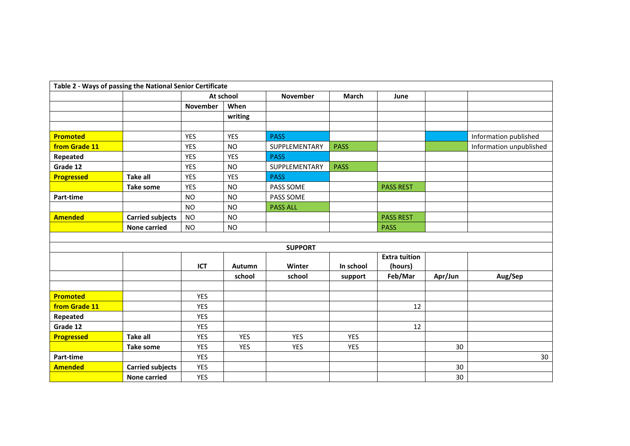| Table 2 - Ways of passing the National Senior Certificate |                         |                 |            |                 |             |                      |         |                         |  |
|-----------------------------------------------------------|-------------------------|-----------------|------------|-----------------|-------------|----------------------|---------|-------------------------|--|
|                                                           |                         | At school       |            | November        | March       | June                 |         |                         |  |
|                                                           |                         | <b>November</b> | When       |                 |             |                      |         |                         |  |
|                                                           |                         |                 | writing    |                 |             |                      |         |                         |  |
|                                                           |                         |                 |            |                 |             |                      |         |                         |  |
| <b>Promoted</b>                                           |                         | <b>YES</b>      | <b>YES</b> | <b>PASS</b>     |             |                      |         | Information published   |  |
| from Grade 11                                             |                         | <b>YES</b>      | <b>NO</b>  | SUPPLEMENTARY   | <b>PASS</b> |                      |         | Information unpublished |  |
| Repeated                                                  |                         | <b>YES</b>      | <b>YES</b> | <b>PASS</b>     |             |                      |         |                         |  |
| Grade 12                                                  |                         | <b>YES</b>      | <b>NO</b>  | SUPPLEMENTARY   | <b>PASS</b> |                      |         |                         |  |
| <b>Progressed</b>                                         | <b>Take all</b>         | <b>YES</b>      | <b>YES</b> | <b>PASS</b>     |             |                      |         |                         |  |
|                                                           | <b>Take some</b>        | <b>YES</b>      | <b>NO</b>  | PASS SOME       |             | <b>PASS REST</b>     |         |                         |  |
| Part-time                                                 |                         | <b>NO</b>       | <b>NO</b>  | PASS SOME       |             |                      |         |                         |  |
|                                                           |                         | <b>NO</b>       | <b>NO</b>  | <b>PASS ALL</b> |             |                      |         |                         |  |
| <b>Amended</b>                                            | <b>Carried subjects</b> | <b>NO</b>       | <b>NO</b>  |                 |             | <b>PASS REST</b>     |         |                         |  |
|                                                           | <b>None carried</b>     | <b>NO</b>       | <b>NO</b>  |                 |             | <b>PASS</b>          |         |                         |  |
|                                                           |                         |                 |            |                 |             |                      |         |                         |  |
|                                                           |                         |                 |            | <b>SUPPORT</b>  |             |                      |         |                         |  |
|                                                           |                         |                 |            |                 |             | <b>Extra tuition</b> |         |                         |  |
|                                                           |                         | <b>ICT</b>      | Autumn     | Winter          | In school   | (hours)              |         |                         |  |
|                                                           |                         |                 | school     | school          | support     | Feb/Mar              | Apr/Jun | Aug/Sep                 |  |
|                                                           |                         |                 |            |                 |             |                      |         |                         |  |
| <b>Promoted</b>                                           |                         | <b>YES</b>      |            |                 |             |                      |         |                         |  |
| from Grade 11                                             |                         | <b>YES</b>      |            |                 |             | 12                   |         |                         |  |
| Repeated                                                  |                         | <b>YES</b>      |            |                 |             |                      |         |                         |  |
| Grade 12                                                  |                         | <b>YES</b>      |            |                 |             | 12                   |         |                         |  |
| <b>Progressed</b>                                         | <b>Take all</b>         | <b>YES</b>      | <b>YES</b> | <b>YES</b>      | <b>YES</b>  |                      |         |                         |  |
|                                                           | <b>Take some</b>        | <b>YES</b>      | <b>YES</b> | <b>YES</b>      | <b>YES</b>  |                      | 30      |                         |  |
| Part-time                                                 |                         | <b>YES</b>      |            |                 |             |                      |         | 30                      |  |
| <b>Amended</b>                                            | <b>Carried subjects</b> | <b>YES</b>      |            |                 |             |                      | 30      |                         |  |
|                                                           | <b>None carried</b>     | <b>YES</b>      |            |                 |             |                      | 30      |                         |  |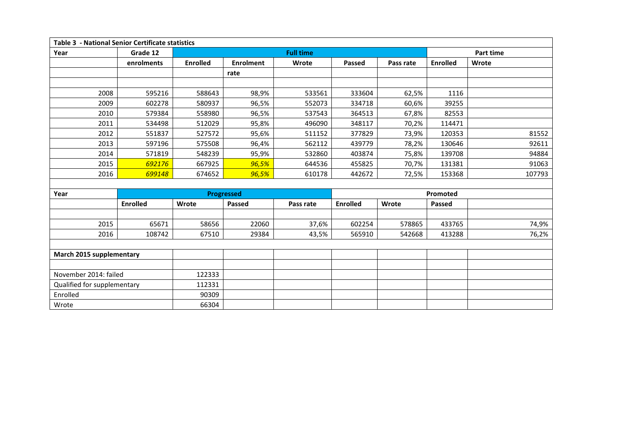| <b>Table 3 - National Senior Certificate statistics</b> |                 |                  |                   |           |                 |           |                 |           |  |  |
|---------------------------------------------------------|-----------------|------------------|-------------------|-----------|-----------------|-----------|-----------------|-----------|--|--|
| Year                                                    | Grade 12        | <b>Full time</b> |                   |           |                 |           |                 | Part time |  |  |
|                                                         | enrolments      | <b>Enrolled</b>  | <b>Enrolment</b>  | Wrote     | Passed          | Pass rate | <b>Enrolled</b> | Wrote     |  |  |
|                                                         |                 |                  | rate              |           |                 |           |                 |           |  |  |
|                                                         |                 |                  |                   |           |                 |           |                 |           |  |  |
| 2008                                                    | 595216          | 588643           | 98,9%             | 533561    | 333604          | 62,5%     | 1116            |           |  |  |
| 2009                                                    | 602278          | 580937           | 96,5%             | 552073    | 334718          | 60,6%     | 39255           |           |  |  |
| 2010                                                    | 579384          | 558980           | 96,5%             | 537543    | 364513          | 67,8%     | 82553           |           |  |  |
| 2011                                                    | 534498          | 512029           | 95,8%             | 496090    | 348117          | 70,2%     | 114471          |           |  |  |
| 2012                                                    | 551837          | 527572           | 95,6%             | 511152    | 377829          | 73,9%     | 120353          | 81552     |  |  |
| 2013                                                    | 597196          | 575508           | 96,4%             | 562112    | 439779          | 78,2%     | 130646          | 92611     |  |  |
| 2014                                                    | 571819          | 548239           | 95,9%             | 532860    | 403874          | 75,8%     | 139708          | 94884     |  |  |
| 2015                                                    | 692176          | 667925           | 96,5%             | 644536    | 455825          | 70,7%     | 131381          | 91063     |  |  |
| 2016                                                    | 699148          | 674652           | 96,5%             | 610178    | 442672          | 72,5%     | 153368          | 107793    |  |  |
|                                                         |                 |                  |                   |           |                 |           |                 |           |  |  |
| Year                                                    |                 |                  | <b>Progressed</b> |           | Promoted        |           |                 |           |  |  |
|                                                         | <b>Enrolled</b> | Wrote            | Passed            | Pass rate | <b>Enrolled</b> | Wrote     | <b>Passed</b>   |           |  |  |
|                                                         |                 |                  |                   |           |                 |           |                 |           |  |  |
| 2015                                                    | 65671           | 58656            | 22060             | 37,6%     | 602254          | 578865    | 433765          | 74,9%     |  |  |
| 2016                                                    | 108742          | 67510            | 29384             | 43,5%     | 565910          | 542668    | 413288          | 76,2%     |  |  |
|                                                         |                 |                  |                   |           |                 |           |                 |           |  |  |
| March 2015 supplementary                                |                 |                  |                   |           |                 |           |                 |           |  |  |
|                                                         |                 |                  |                   |           |                 |           |                 |           |  |  |
| November 2014: failed                                   |                 | 122333           |                   |           |                 |           |                 |           |  |  |
| Qualified for supplementary                             |                 | 112331           |                   |           |                 |           |                 |           |  |  |
| Enrolled                                                |                 | 90309            |                   |           |                 |           |                 |           |  |  |
| Wrote                                                   |                 | 66304            |                   |           |                 |           |                 |           |  |  |